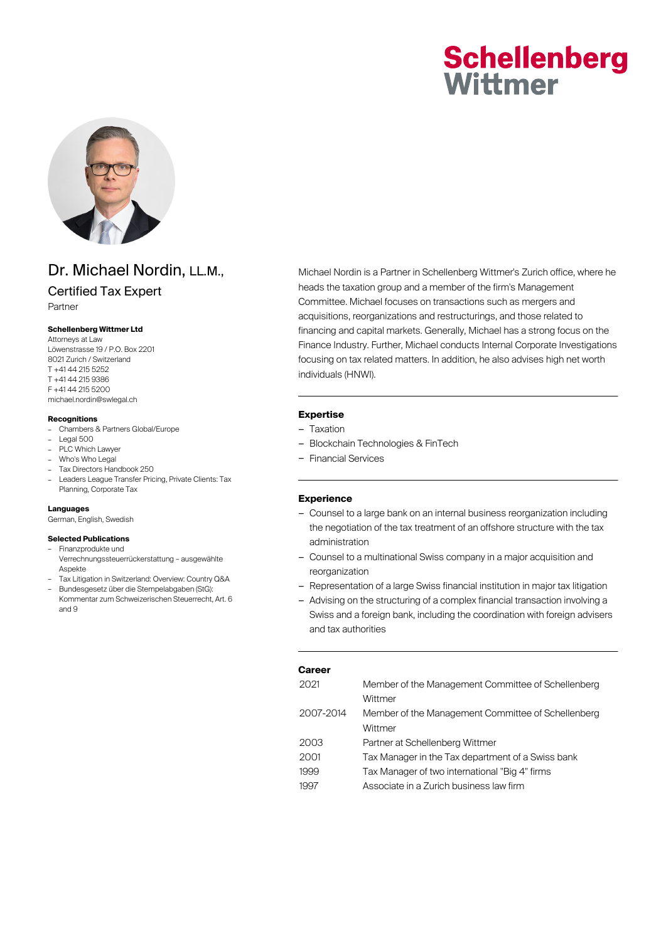# **Schellenberg** Wittmer



## Dr. Michael Nordin, LL.M.,

### Certified Tax Expert

Partner

#### **Schellenberg Wittmer Ltd**

Attorneys at Law Löwenstrasse 19 / P.O. Box 2201 8021 Zurich / Switzerland T +41 44 215 5252 T +41 44 215 9386 F +41 44 215 5200 michael.nordin@swlegal.ch

#### **Recognitions**

- Chambers & Partners Global/Europe
- Legal 500
- PLC Which Lawyer
- Who's Who Legal
- Tax Directors Handbook 250
- Leaders League Transfer Pricing, Private Clients: Tax Planning, Corporate Tax

#### **Languages**

German, English, Swedish

#### **Selected Publications**

- Finanzprodukte und Verrechnungssteuerrückerstattung – ausgewählte Aspekte
- Tax Litigation in Switzerland: Overview: Country Q&A – Bundesgesetz über die Stempelabgaben (StG): Kommentar zum Schweizerischen Steuerrecht, Art. 6 and 9

Michael Nordin is a Partner in Schellenberg Wittmer's Zurich office, where he heads the taxation group and a member of the firm's Management Committee. Michael focuses on transactions such as mergers and acquisitions, reorganizations and restructurings, and those related to financing and capital markets. Generally, Michael has a strong focus on the Finance Industry. Further, Michael conducts Internal Corporate Investigations focusing on tax related matters. In addition, he also advises high net worth individuals (HNWI).

#### **Expertise**

- Taxation
- Blockchain Technologies & FinTech
- Financial Services

#### **Experience**

- Counsel to a large bank on an internal business reorganization including the negotiation of the tax treatment of an offshore structure with the tax administration
- Counsel to a multinational Swiss company in a major acquisition and reorganization
- Representation of a large Swiss financial institution in major tax litigation
- Advising on the structuring of a complex financial transaction involving a Swiss and a foreign bank, including the coordination with foreign advisers and tax authorities

| Career    |                                                    |  |
|-----------|----------------------------------------------------|--|
| 2021      | Member of the Management Committee of Schellenberg |  |
|           | Wittmer                                            |  |
| 2007-2014 | Member of the Management Committee of Schellenberg |  |
|           | Wittmer                                            |  |
| 2003      | Partner at Schellenberg Wittmer                    |  |
| 2001      | Tax Manager in the Tax department of a Swiss bank  |  |
| 1999      | Tax Manager of two international "Big 4" firms     |  |
| 1997      | Associate in a Zurich business law firm            |  |